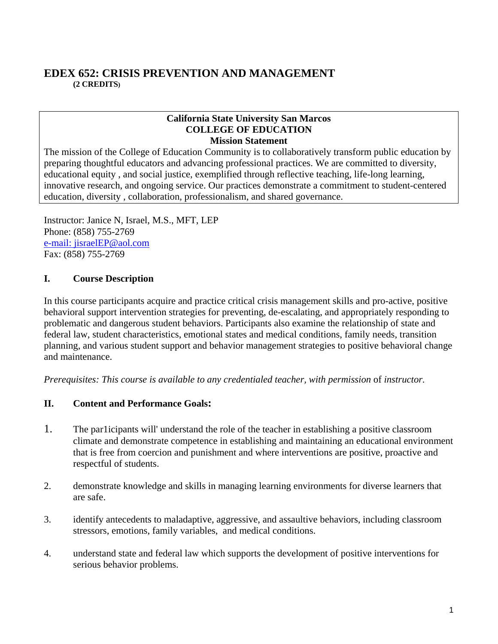## **EDEX 652: CRISIS PREVENTION AND MANAGEMENT (2 CREDITS)**

#### **California State University San Marcos COLLEGE OF EDUCATION Mission Statement**

The mission of the College of Education Community is to collaboratively transform public education by preparing thoughtful educators and advancing professional practices. We are committed to diversity, educational equity , and social justice, exemplified through reflective teaching, life-long learning, innovative research, and ongoing service. Our practices demonstrate a commitment to student-centered education, diversity , collaboration, professionalism, and shared governance.

Instructor: Janice N, Israel, M.S., MFT, LEP Phone: (858) 755-2769 e-mail: jisraelEP@aol.com Fax: (858) 755-2769

### **I. Course Description**

In this course participants acquire and practice critical crisis management skills and pro-active, positive behavioral support intervention strategies for preventing, de-escalating, and appropriately responding to problematic and dangerous student behaviors. Participants also examine the relationship of state and federal law, student characteristics, emotional states and medical conditions, family needs, transition planning, and various student support and behavior management strategies to positive behavioral change and maintenance.

*Prerequisites: This course is available to any credentialed teacher, with permission of instructor.* 

### **II. Content and Performance Goals:**

- 1. The par1icipants will' understand the role of the teacher in establishing a positive classroom climate and demonstrate competence in establishing and maintaining an educational environment that is free from coercion and punishment and where interventions are positive, proactive and respectful of students.
- 2. demonstrate knowledge and skills in managing learning environments for diverse learners that are safe.
- 3. identify antecedents to maladaptive, aggressive, and assaultive behaviors, including classroom stressors, emotions, family variables, and medical conditions.
- 4. understand state and federal law which supports the development of positive interventions for serious behavior problems.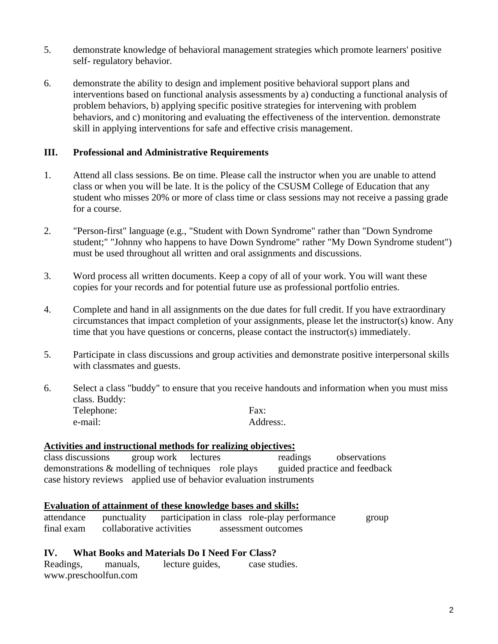- 5. demonstrate knowledge of behavioral management strategies which promote learners' positive self- regulatory behavior.
- 6. demonstrate the ability to design and implement positive behavioral support plans and interventions based on functional analysis assessments by a) conducting a functional analysis of problem behaviors, b) applying specific positive strategies for intervening with problem behaviors, and c) monitoring and evaluating the effectiveness of the intervention. demonstrate skill in applying interventions for safe and effective crisis management.

### **III. Professional and Administrative Requirements**

- 1. Attend all class sessions. Be on time. Please call the instructor when you are unable to attend class or when you will be late. It is the policy of the CSUSM College of Education that any student who misses 20% or more of class time or class sessions may not receive a passing grade for a course.
- 2. "Person-first" language (e.g., "Student with Down Syndrome" rather than "Down Syndrome student;" "Johnny who happens to have Down Syndrome" rather "My Down Syndrome student") must be used throughout all written and oral assignments and discussions.
- 3. Word process all written documents. Keep a copy of all of your work. You will want these copies for your records and for potential future use as professional portfolio entries.
- 4. Complete and hand in all assignments on the due dates for full credit. If you have extraordinary circumstances that impact completion of your assignments, please let the instructor(s) know. Any time that you have questions or concerns, please contact the instructor(s) immediately.
- 5. Participate in class discussions and group activities and demonstrate positive interpersonal skills with classmates and guests.
- 6. Select a class "buddy" to ensure that you receive handouts and information when you must miss class. Buddy: Telephone: Fax: e-mail: Address:.

#### **Activities and instructional methods for realizing objectives:**

class discussions group work lectures readings observations demonstrations & modelling of techniques role plays guided practice and feedback case history reviews applied use of behavior evaluation instruments

#### **Evaluation of attainment of these knowledge bases and skills:**

| attendance |                          |  | punctuality participation in class role-play performance | group |
|------------|--------------------------|--|----------------------------------------------------------|-------|
| final exam | collaborative activities |  | assessment outcomes                                      |       |

#### **IV. What Books and Materials Do I Need For Class?**

Readings, manuals, lecture guides, case studies. www.preschoolfun.com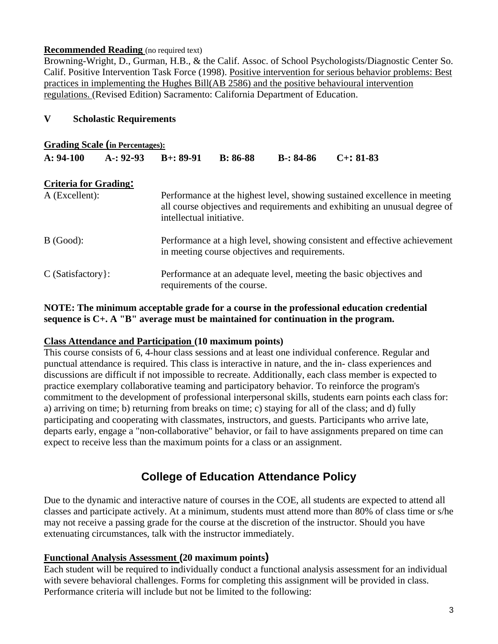#### **Recommended Reading** (no required text)

Browning-Wright, D., Gurman, H.B., & the Calif. Assoc. of School Psychologists/Diagnostic Center So. Calif. Positive Intervention Task Force (1998). Positive intervention for serious behavior problems: Best practices in implementing the Hughes Bill(AB 2586) and the positive behavioural intervention regulations. (Revised Edition) Sacramento: California Department of Education.

#### **V Scholastic Requirements**

| <b>Grading Scale (in Percentages):</b> |              |                                                                                                                                                                                     |            |             |                 |  |
|----------------------------------------|--------------|-------------------------------------------------------------------------------------------------------------------------------------------------------------------------------------|------------|-------------|-----------------|--|
| $A: 94-100$                            | $A-$ : 92-93 | $B+: 89-91$                                                                                                                                                                         | $B: 86-88$ | $B-: 84-86$ | $C_{+}$ : 81-83 |  |
| <b>Criteria for Grading:</b>           |              |                                                                                                                                                                                     |            |             |                 |  |
| A (Excellent):                         |              | Performance at the highest level, showing sustained excellence in meeting<br>all course objectives and requirements and exhibiting an unusual degree of<br>intellectual initiative. |            |             |                 |  |
| $B$ (Good):                            |              | Performance at a high level, showing consistent and effective achievement<br>in meeting course objectives and requirements.                                                         |            |             |                 |  |
| $C$ (Satisfactory):                    |              | Performance at an adequate level, meeting the basic objectives and<br>requirements of the course.                                                                                   |            |             |                 |  |

#### **NOTE: The minimum acceptable grade for a course in the professional education credential sequence is C+. A "B" average must be maintained for continuation in the program.**

#### **Class Attendance and Participation (10 maximum points)**

This course consists of 6, 4-hour class sessions and at least one individual conference. Regular and punctual attendance is required. This class is interactive in nature, and the in- class experiences and discussions are difficult if not impossible to recreate. Additionally, each class member is expected to practice exemplary collaborative teaming and participatory behavior. To reinforce the program's commitment to the development of professional interpersonal skills, students earn points each class for: a) arriving on time; b) returning from breaks on time; c) staying for all of the class; and d) fully participating and cooperating with classmates, instructors, and guests. Participants who arrive late, departs early, engage a "non-collaborative" behavior, or fail to have assignments prepared on time can expect to receive less than the maximum points for a class or an assignment.

# **College of Education Attendance Policy**

Due to the dynamic and interactive nature of courses in the COE, all students are expected to attend all classes and participate actively. At a minimum, students must attend more than 80% of class time or s/he may not receive a passing grade for the course at the discretion of the instructor. Should you have extenuating circumstances, talk with the instructor immediately.

#### **Functional Analysis Assessment (20 maximum points)**

Each student will be required to individually conduct a functional analysis assessment for an individual with severe behavioral challenges. Forms for completing this assignment will be provided in class. Performance criteria will include but not be limited to the following: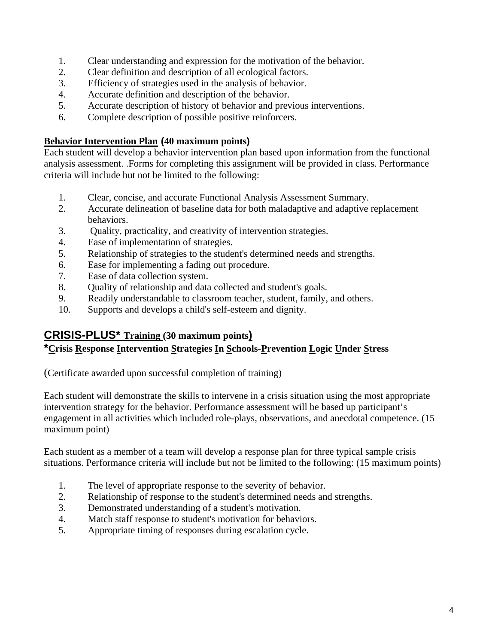- 1. Clear understanding and expression for the motivation of the behavior.
- 2. Clear definition and description of all ecological factors.
- 3. Efficiency of strategies used in the analysis of behavior.
- 4. Accurate definition and description of the behavior.
- 5. Accurate description of history of behavior and previous interventions.
- 6. Complete description of possible positive reinforcers.

## **Behavior Intervention Plan (40 maximum points)**

Each student will develop a behavior intervention plan based upon information from the functional analysis assessment. .Forms for completing this assignment will be provided in class. Performance criteria will include but not be limited to the following:

- 1. Clear, concise, and accurate Functional Analysis Assessment Summary.
- 2. Accurate delineation of baseline data for both maladaptive and adaptive replacement behaviors.
- 3. Quality, practicality, and creativity of intervention strategies.
- 4. Ease of implementation of strategies.
- 5. Relationship of strategies to the student's determined needs and strengths.
- 6. Ease for implementing a fading out procedure.
- 7. Ease of data collection system.
- 8. Quality of relationship and data collected and student's goals.
- 9. Readily understandable to classroom teacher, student, family, and others.
- 10. Supports and develops a child's self-esteem and dignity.

# **CRISIS-PLUS\* Training (30 maximum points)**

## **\*Crisis Response Intervention Strategies In Schools-Prevention Logic Under Stress**

(Certificate awarded upon successful completion of training)

Each student will demonstrate the skills to intervene in a crisis situation using the most appropriate intervention strategy for the behavior. Performance assessment will be based up participant's engagement in all activities which included role-plays, observations, and anecdotal competence. (15 maximum point)

Each student as a member of a team will develop a response plan for three typical sample crisis situations. Performance criteria will include but not be limited to the following: (15 maximum points)

- 1. The level of appropriate response to the severity of behavior.
- 2. Relationship of response to the student's determined needs and strengths.
- 3. Demonstrated understanding of a student's motivation.
- 4. Match staff response to student's motivation for behaviors.
- 5. Appropriate timing of responses during escalation cycle.